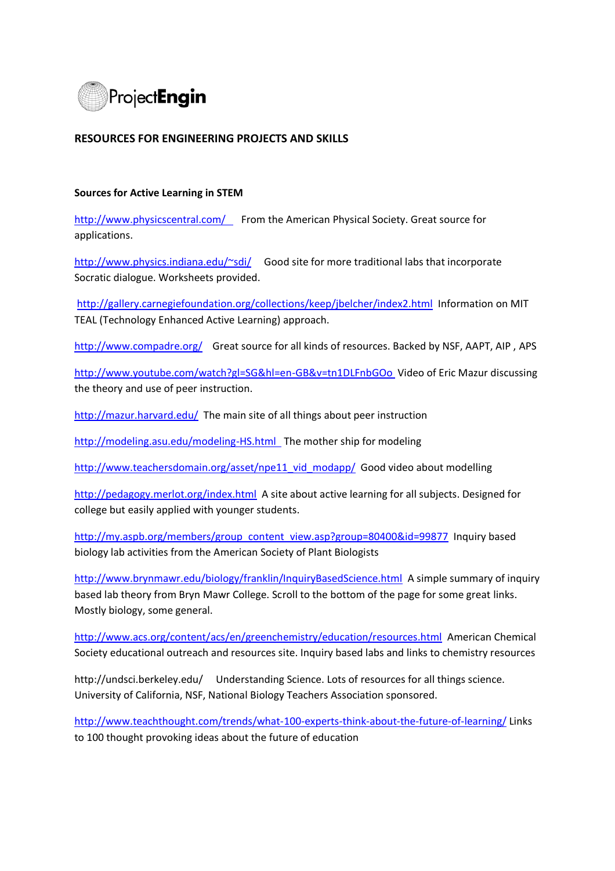

## **RESOURCES FOR ENGINEERING PROJECTS AND SKILLS**

## **Sources for Active Learning in STEM**

<http://www.physicscentral.com/>From the American Physical Society. Great source for applications.

<http://www.physics.indiana.edu/~sdi/>Good site for more traditional labs that incorporate Socratic dialogue. Worksheets provided.

<http://gallery.carnegiefoundation.org/collections/keep/jbelcher/index2.html>Information on MIT TEAL (Technology Enhanced Active Learning) approach.

<http://www.compadre.org/>Great source for all kinds of resources. Backed by NSF, AAPT, AIP , APS

<http://www.youtube.com/watch?gl=SG&hl=en-GB&v=tn1DLFnbGOo> Video of Eric Mazur discussing the theory and use of peer instruction.

<http://mazur.harvard.edu/>The main site of all things about peer instruction

<http://modeling.asu.edu/modeling-HS.html>The mother ship for modeling

[http://www.teachersdomain.org/asset/npe11\\_vid\\_modapp/](http://www.teachersdomain.org/asset/npe11_vid_modapp/) Good video about modelling

<http://pedagogy.merlot.org/index.html>A site about active learning for all subjects. Designed for college but easily applied with younger students.

[http://my.aspb.org/members/group\\_content\\_view.asp?group=80400&id=99877](http://my.aspb.org/members/group_content_view.asp?group=80400&id=99877) Inquiry based biology lab activities from the American Society of Plant Biologists

<http://www.brynmawr.edu/biology/franklin/InquiryBasedScience.html>A simple summary of inquiry based lab theory from Bryn Mawr College. Scroll to the bottom of the page for some great links. Mostly biology, some general.

<http://www.acs.org/content/acs/en/greenchemistry/education/resources.html>American Chemical Society educational outreach and resources site. Inquiry based labs and links to chemistry resources

http://undsci.berkeley.edu/ Understanding Science. Lots of resources for all things science. University of California, NSF, National Biology Teachers Association sponsored.

<http://www.teachthought.com/trends/what-100-experts-think-about-the-future-of-learning/> Links to 100 thought provoking ideas about the future of education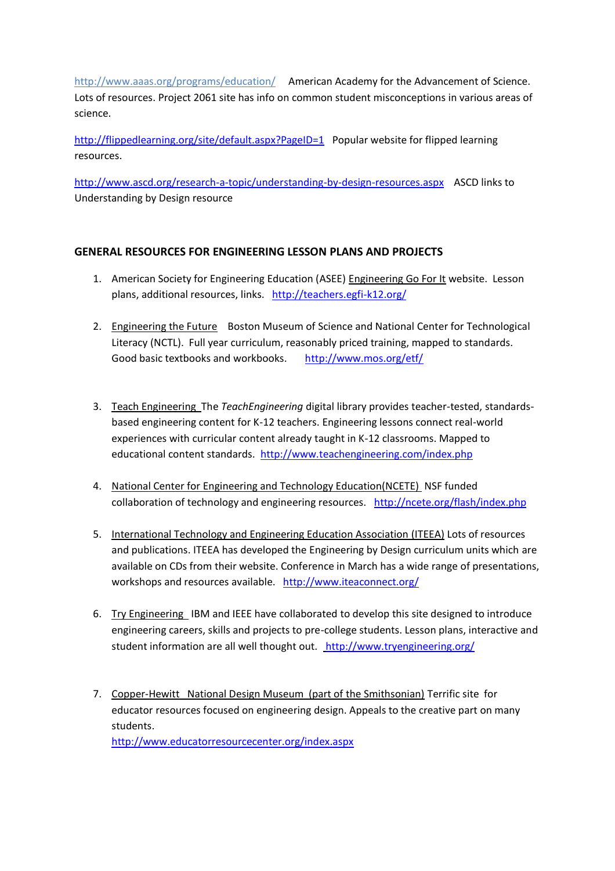http://www.aaas.org/programs/education/ American Academy for the Advancement of Science. Lots of resources. Project 2061 site has info on common student misconceptions in various areas of science.

<http://flippedlearning.org/site/default.aspx?PageID=1>Popular website for flipped learning resources.

<http://www.ascd.org/research-a-topic/understanding-by-design-resources.aspx>ASCD links to Understanding by Design resource

# **GENERAL RESOURCES FOR ENGINEERING LESSON PLANS AND PROJECTS**

- 1. American Society for Engineering Education (ASEE) Engineering Go For It website. Lesson plans, additional resources, links. <http://teachers.egfi-k12.org/>
- 2. Engineering the Future Boston Museum of Science and National Center for Technological Literacy (NCTL). Full year curriculum, reasonably priced training, mapped to standards. Good basic textbooks and workbooks. <http://www.mos.org/etf/>
- 3. Teach Engineering The *TeachEngineering* digital library provides teacher-tested, standardsbased engineering content for K-12 teachers. Engineering lessons connect real-world experiences with curricular content already taught in K-12 classrooms. Mapped to educational content standards. <http://www.teachengineering.com/index.php>
- 4. National Center for Engineering and Technology Education(NCETE) NSF funded collaboration of technology and engineering resources. <http://ncete.org/flash/index.php>
- 5. International Technology and Engineering Education Association (ITEEA) Lots of resources and publications. ITEEA has developed the Engineering by Design curriculum units which are available on CDs from their website. Conference in March has a wide range of presentations, workshops and resources available. <http://www.iteaconnect.org/>
- 6. Try Engineering IBM and IEEE have collaborated to develop this site designed to introduce engineering careers, skills and projects to pre-college students. Lesson plans, interactive and student information are all well thought out. <http://www.tryengineering.org/>
- 7. Copper-Hewitt National Design Museum (part of the Smithsonian) Terrific site for educator resources focused on engineering design. Appeals to the creative part on many students. <http://www.educatorresourcecenter.org/index.aspx>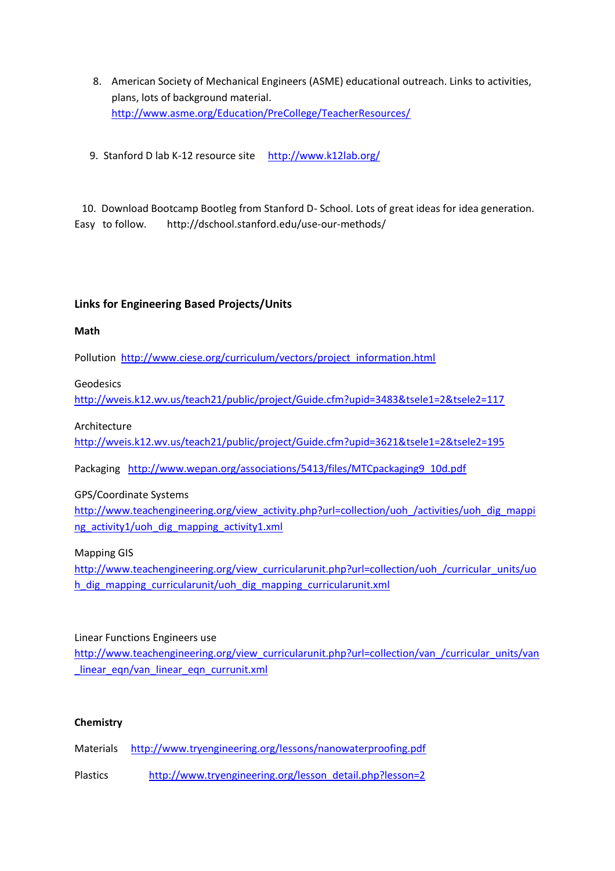- 8. American Society of Mechanical Engineers (ASME) educational outreach. Links to activities, plans, lots of background material. <http://www.asme.org/Education/PreCollege/TeacherResources/>
- 9. Stanford D lab K-12 resource site <http://www.k12lab.org/>

 10. Download Bootcamp Bootleg from Stanford D- School. Lots of great ideas for idea generation. Easy to follow. http://dschool.stanford.edu/use-our-methods/

## **Links for Engineering Based Projects/Units**

#### **Math**

Pollution [http://www.ciese.org/curriculum/vectors/project\\_information.html](http://www.ciese.org/curriculum/vectors/project_information.html)

Geodesics

<http://wveis.k12.wv.us/teach21/public/project/Guide.cfm?upid=3483&tsele1=2&tsele2=117>

#### Architecture

<http://wveis.k12.wv.us/teach21/public/project/Guide.cfm?upid=3621&tsele1=2&tsele2=195>

Packaging [http://www.wepan.org/associations/5413/files/MTCpackaging9\\_10d.pdf](http://www.wepan.org/associations/5413/files/MTCpackaging9_10d.pdf)

GPS/Coordinate Systems

[http://www.teachengineering.org/view\\_activity.php?url=collection/uoh\\_/activities/uoh\\_dig\\_mappi](http://www.teachengineering.org/view_activity.php?url=collection/uoh_/activities/uoh_dig_mapping_activity1/uoh_dig_mapping_activity1.xml) [ng\\_activity1/uoh\\_dig\\_mapping\\_activity1.xml](http://www.teachengineering.org/view_activity.php?url=collection/uoh_/activities/uoh_dig_mapping_activity1/uoh_dig_mapping_activity1.xml)

Mapping GIS

[http://www.teachengineering.org/view\\_curricularunit.php?url=collection/uoh\\_/curricular\\_units/uo](http://www.teachengineering.org/view_curricularunit.php?url=collection/uoh_/curricular_units/uoh_dig_mapping_curricularunit/uoh_dig_mapping_curricularunit.xml) h dig mapping curricularunit/uoh dig mapping curricularunit.xml

## Linear Functions Engineers use

[http://www.teachengineering.org/view\\_curricularunit.php?url=collection/van\\_/curricular\\_units/van](http://www.teachengineering.org/view_curricularunit.php?url=collection/van_/curricular_units/van_linear_eqn/van_linear_eqn_currunit.xml) linear eqn/van\_linear\_eqn\_currunit.xml

## **Chemistry**

Materials <http://www.tryengineering.org/lessons/nanowaterproofing.pdf>

Plastics [http://www.tryengineering.org/lesson\\_detail.php?lesson=2](http://www.tryengineering.org/lesson_detail.php?lesson=2)